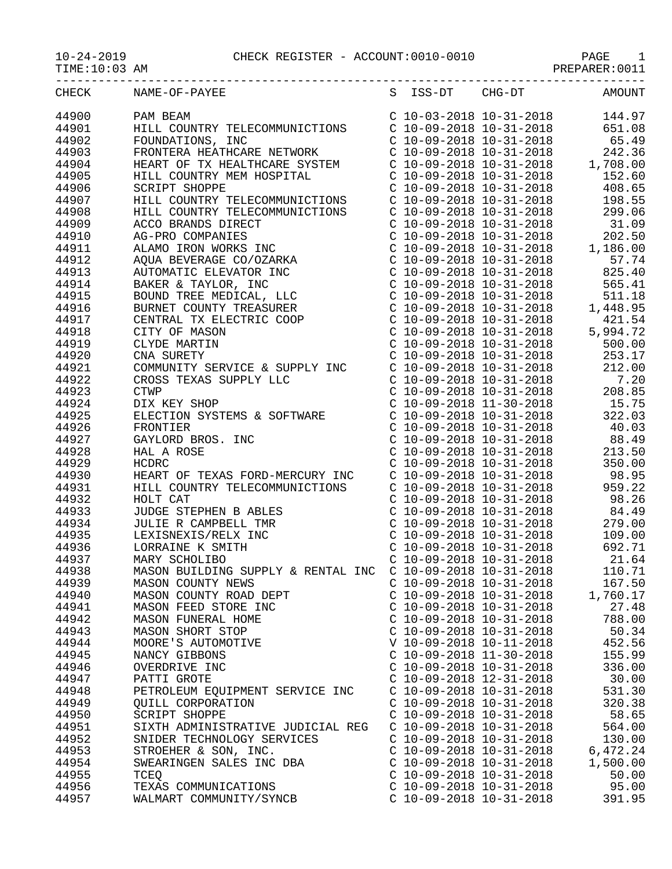10-24-2019 CHECK REGISTER - ACCOUNT:0010-0010 PAGE 1

TIME:10:03 AM PREPARER:0011

|       | CHECK NAME-OF-PAYEE                                                                                                                                                                                                                                                                                                                                                                                 |                           | S ISS-DT CHG-DT AMOUNT                                                                                                                                                               |          |
|-------|-----------------------------------------------------------------------------------------------------------------------------------------------------------------------------------------------------------------------------------------------------------------------------------------------------------------------------------------------------------------------------------------------------|---------------------------|--------------------------------------------------------------------------------------------------------------------------------------------------------------------------------------|----------|
| 44900 | $\begin{tabular}{l c c c c} \multicolumn{1}{c}{\textbf{RAME-OF-FALEB}} & $\textbf{S}$ & $\textbf{1.55-D1}$ & $\textbf{Am00M1}$ \\ \multicolumn{1}{c}{\textbf{RAMB E}-\textbf{OF-FALEB}} & $\textbf{C}$ & $\textbf{10}-03-2018$ & $\textbf{10}-31-2018$ & $\textbf{651},08$ \\ \multicolumn{1}{c}{\textbf{RUMI TONST NIS}}, & $\textbf{C10}-09-2018$ & $\textbf{10}-31-2018$ & $\textbf{651},08$ \\$ |                           |                                                                                                                                                                                      |          |
| 44901 |                                                                                                                                                                                                                                                                                                                                                                                                     |                           |                                                                                                                                                                                      |          |
| 44902 |                                                                                                                                                                                                                                                                                                                                                                                                     |                           |                                                                                                                                                                                      |          |
| 44903 |                                                                                                                                                                                                                                                                                                                                                                                                     |                           |                                                                                                                                                                                      |          |
| 44904 |                                                                                                                                                                                                                                                                                                                                                                                                     |                           |                                                                                                                                                                                      |          |
| 44905 |                                                                                                                                                                                                                                                                                                                                                                                                     |                           |                                                                                                                                                                                      |          |
| 44906 |                                                                                                                                                                                                                                                                                                                                                                                                     |                           |                                                                                                                                                                                      |          |
| 44907 |                                                                                                                                                                                                                                                                                                                                                                                                     |                           |                                                                                                                                                                                      |          |
| 44908 |                                                                                                                                                                                                                                                                                                                                                                                                     |                           |                                                                                                                                                                                      |          |
| 44909 |                                                                                                                                                                                                                                                                                                                                                                                                     |                           |                                                                                                                                                                                      |          |
|       |                                                                                                                                                                                                                                                                                                                                                                                                     |                           |                                                                                                                                                                                      |          |
| 44910 |                                                                                                                                                                                                                                                                                                                                                                                                     |                           |                                                                                                                                                                                      |          |
| 44911 |                                                                                                                                                                                                                                                                                                                                                                                                     |                           |                                                                                                                                                                                      |          |
| 44912 |                                                                                                                                                                                                                                                                                                                                                                                                     |                           |                                                                                                                                                                                      |          |
| 44913 |                                                                                                                                                                                                                                                                                                                                                                                                     |                           |                                                                                                                                                                                      |          |
| 44914 |                                                                                                                                                                                                                                                                                                                                                                                                     |                           |                                                                                                                                                                                      |          |
| 44915 |                                                                                                                                                                                                                                                                                                                                                                                                     |                           |                                                                                                                                                                                      |          |
| 44916 |                                                                                                                                                                                                                                                                                                                                                                                                     |                           |                                                                                                                                                                                      |          |
| 44917 |                                                                                                                                                                                                                                                                                                                                                                                                     |                           |                                                                                                                                                                                      |          |
| 44918 |                                                                                                                                                                                                                                                                                                                                                                                                     |                           |                                                                                                                                                                                      |          |
| 44919 |                                                                                                                                                                                                                                                                                                                                                                                                     |                           |                                                                                                                                                                                      |          |
| 44920 |                                                                                                                                                                                                                                                                                                                                                                                                     |                           |                                                                                                                                                                                      |          |
| 44921 |                                                                                                                                                                                                                                                                                                                                                                                                     |                           |                                                                                                                                                                                      |          |
| 44922 |                                                                                                                                                                                                                                                                                                                                                                                                     |                           |                                                                                                                                                                                      |          |
| 44923 |                                                                                                                                                                                                                                                                                                                                                                                                     |                           |                                                                                                                                                                                      |          |
| 44924 |                                                                                                                                                                                                                                                                                                                                                                                                     |                           |                                                                                                                                                                                      |          |
| 44925 |                                                                                                                                                                                                                                                                                                                                                                                                     |                           |                                                                                                                                                                                      |          |
| 44926 |                                                                                                                                                                                                                                                                                                                                                                                                     |                           |                                                                                                                                                                                      |          |
| 44927 |                                                                                                                                                                                                                                                                                                                                                                                                     |                           |                                                                                                                                                                                      |          |
| 44928 | COMMONITE TRAVICE & SOPPLY INC<br>CROSS TEXAS SUPPLY LLC<br>CROSS TEXAS SUPPLY LLC<br>CROSS TEXAS SUPPLY LLC<br>CROSS TEXAS SUPPLY LLC<br>CROSS TEXAS SUPPLY LLC<br>CROSS CROSS CROSS CROSS CROSS CONSIDER<br>DIX KEY SHOP<br>CROSS CROS                                                                                                                                                            |                           | C 10-09-2018 10-31-2018<br>C 10-09-2018 10-31-2018<br>C 10-09-2018 10-31-2018<br>C 10-09-2018 10-31-2018<br>C 10-09-2018 10-31-2018<br>98.95                                         |          |
| 44929 | HCDRC                                                                                                                                                                                                                                                                                                                                                                                               |                           |                                                                                                                                                                                      |          |
| 44930 | HEART OF TEXAS FORD-MERCURY INC                                                                                                                                                                                                                                                                                                                                                                     |                           |                                                                                                                                                                                      |          |
| 44931 | HILL COUNTRY TELECOMMUNICTIONS                                                                                                                                                                                                                                                                                                                                                                      |                           | $C$ 10-09-2018 10-31-2018 959.22                                                                                                                                                     |          |
| 44932 |                                                                                                                                                                                                                                                                                                                                                                                                     |                           | C $10-09-2018$ $10-31-2018$ 98.26                                                                                                                                                    |          |
| 44933 | HOLT CAT<br>JUDGE STEPHEN B ABLES<br>JULIE R CAMPBELL TMR<br>LEXISNEXIS/RELX INC<br>LORRAINE K SMITH<br>MARY SCHOLIBO<br>MARY SCHOLIBO                                                                                                                                                                                                                                                              |                           | $\begin{tabular}{lllllllllll} c&10-09-2018&10-31-2018&&&84.49\\ c&10-09-2018&10-31-2018&&279.00\\ c&10-09-2018&10-31-2018&&109.00\\ c&10-09-2018&10-31-2018&&692.71\\ \end{tabular}$ |          |
| 44934 |                                                                                                                                                                                                                                                                                                                                                                                                     |                           |                                                                                                                                                                                      |          |
| 44935 | JULIE R CAMPBELL<br>LEXISNEXIS/RELX I<br>LORRAINE K SMITH                                                                                                                                                                                                                                                                                                                                           |                           |                                                                                                                                                                                      |          |
| 44936 |                                                                                                                                                                                                                                                                                                                                                                                                     |                           |                                                                                                                                                                                      |          |
| 44937 | MARY SCHOLIBO                                                                                                                                                                                                                                                                                                                                                                                       |                           | C 10-09-2018 $10-31-2018$ 21.64                                                                                                                                                      |          |
| 44938 | MASON BUILDING SUPPLY & RENTAL INC C 10-09-2018 10-31-2018                                                                                                                                                                                                                                                                                                                                          |                           |                                                                                                                                                                                      | 110.71   |
| 44939 | MASON COUNTY NEWS                                                                                                                                                                                                                                                                                                                                                                                   | $C$ 10-09-2018 10-31-2018 |                                                                                                                                                                                      | 167.50   |
| 44940 | MASON COUNTY ROAD DEPT                                                                                                                                                                                                                                                                                                                                                                              | $C$ 10-09-2018 10-31-2018 |                                                                                                                                                                                      | 1,760.17 |
| 44941 | MASON FEED STORE INC                                                                                                                                                                                                                                                                                                                                                                                | $C$ 10-09-2018 10-31-2018 |                                                                                                                                                                                      | 27.48    |
| 44942 | MASON FUNERAL HOME                                                                                                                                                                                                                                                                                                                                                                                  | $C$ 10-09-2018 10-31-2018 |                                                                                                                                                                                      | 788.00   |
| 44943 | MASON SHORT STOP                                                                                                                                                                                                                                                                                                                                                                                    | $C$ 10-09-2018 10-31-2018 |                                                                                                                                                                                      | 50.34    |
| 44944 | MOORE'S AUTOMOTIVE                                                                                                                                                                                                                                                                                                                                                                                  | V 10-09-2018 10-11-2018   |                                                                                                                                                                                      | 452.56   |
|       |                                                                                                                                                                                                                                                                                                                                                                                                     | $C$ 10-09-2018 11-30-2018 |                                                                                                                                                                                      |          |
| 44945 | NANCY GIBBONS                                                                                                                                                                                                                                                                                                                                                                                       | $C$ 10-09-2018 10-31-2018 |                                                                                                                                                                                      | 155.99   |
| 44946 | OVERDRIVE INC                                                                                                                                                                                                                                                                                                                                                                                       |                           |                                                                                                                                                                                      | 336.00   |
| 44947 | PATTI GROTE                                                                                                                                                                                                                                                                                                                                                                                         | $C$ 10-09-2018 12-31-2018 |                                                                                                                                                                                      | 30.00    |
| 44948 | PETROLEUM EQUIPMENT SERVICE INC                                                                                                                                                                                                                                                                                                                                                                     | $C$ 10-09-2018 10-31-2018 |                                                                                                                                                                                      | 531.30   |
| 44949 | QUILL CORPORATION                                                                                                                                                                                                                                                                                                                                                                                   | $C$ 10-09-2018 10-31-2018 |                                                                                                                                                                                      | 320.38   |
| 44950 | SCRIPT SHOPPE                                                                                                                                                                                                                                                                                                                                                                                       | $C$ 10-09-2018 10-31-2018 |                                                                                                                                                                                      | 58.65    |
| 44951 | SIXTH ADMINISTRATIVE JUDICIAL REG                                                                                                                                                                                                                                                                                                                                                                   | $C$ 10-09-2018 10-31-2018 |                                                                                                                                                                                      | 564.00   |
| 44952 | SNIDER TECHNOLOGY SERVICES                                                                                                                                                                                                                                                                                                                                                                          | C 10-09-2018 10-31-2018   |                                                                                                                                                                                      | 130.00   |
| 44953 | STROEHER & SON, INC.                                                                                                                                                                                                                                                                                                                                                                                | $C$ 10-09-2018 10-31-2018 |                                                                                                                                                                                      | 6,472.24 |
| 44954 | SWEARINGEN SALES INC DBA                                                                                                                                                                                                                                                                                                                                                                            | $C$ 10-09-2018 10-31-2018 |                                                                                                                                                                                      | 1,500.00 |
| 44955 | TCEQ                                                                                                                                                                                                                                                                                                                                                                                                | $C$ 10-09-2018 10-31-2018 |                                                                                                                                                                                      | 50.00    |
| 44956 | TEXAS COMMUNICATIONS                                                                                                                                                                                                                                                                                                                                                                                | $C$ 10-09-2018 10-31-2018 |                                                                                                                                                                                      | 95.00    |
| 44957 | WALMART COMMUNITY/SYNCB                                                                                                                                                                                                                                                                                                                                                                             | $C$ 10-09-2018 10-31-2018 |                                                                                                                                                                                      | 391.95   |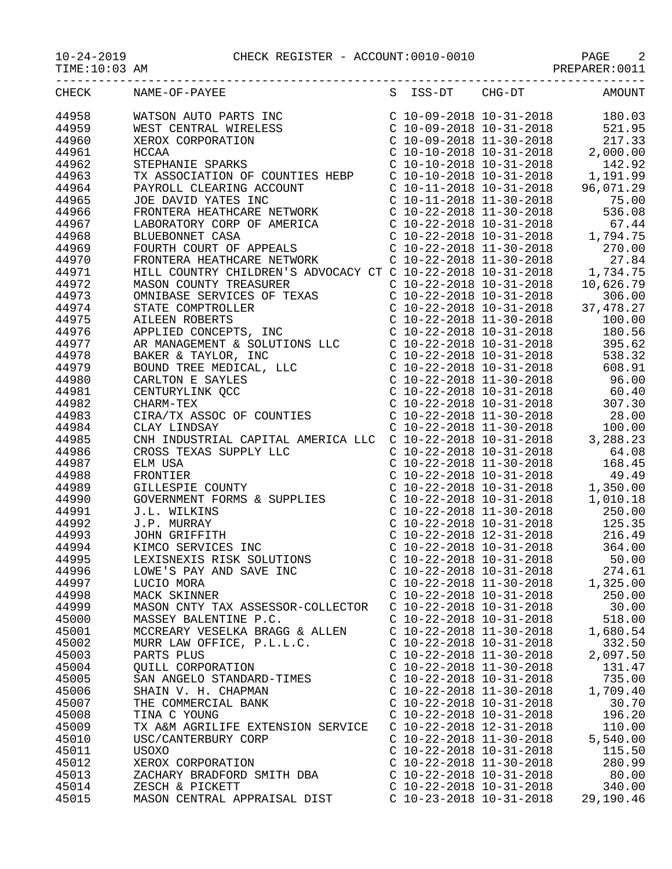10-24-2019 CHECK REGISTER - ACCOUNT:0010-0010 PAGE 2

TIME:10:03 AM PREPARER:0011

|       | S ISS-DT CHG-DT AMOUNT<br>CHECK NAME-OF-PAYEE                                                                                                                                                                                                                                                                                                                                                          |                           |                           |          |
|-------|--------------------------------------------------------------------------------------------------------------------------------------------------------------------------------------------------------------------------------------------------------------------------------------------------------------------------------------------------------------------------------------------------------|---------------------------|---------------------------|----------|
| 44958 | $\begin{tabular}{l c c c c} \multicolumn{1}{c}{\textbf{NAMSE-OP}-PAYBES}\\ \multicolumn{1}{c}{\textbf{WIST CENTRAL WIRELES} & \multicolumn{1}{c}{\textbf{C10}-09-2018} & 10-31-2018 & 180.03 \\ \multicolumn{1}{c}{\textbf{WEST CENTRAL WIRELES} & \multicolumn{1}{c}{\textbf{C10}-09-2018} & 10-31-2018 & 180.03 \\ \multicolumn{1}{c}{\textbf{XERON CORPORTON}} & \multicolumn{1}{c}{\textbf{C10}-0$ |                           |                           |          |
| 44959 |                                                                                                                                                                                                                                                                                                                                                                                                        |                           |                           |          |
| 44960 |                                                                                                                                                                                                                                                                                                                                                                                                        |                           |                           |          |
| 44961 |                                                                                                                                                                                                                                                                                                                                                                                                        |                           |                           |          |
| 44962 |                                                                                                                                                                                                                                                                                                                                                                                                        |                           |                           |          |
| 44963 |                                                                                                                                                                                                                                                                                                                                                                                                        |                           |                           |          |
| 44964 |                                                                                                                                                                                                                                                                                                                                                                                                        |                           |                           |          |
| 44965 |                                                                                                                                                                                                                                                                                                                                                                                                        |                           |                           |          |
| 44966 |                                                                                                                                                                                                                                                                                                                                                                                                        |                           |                           |          |
| 44967 |                                                                                                                                                                                                                                                                                                                                                                                                        |                           |                           |          |
| 44968 |                                                                                                                                                                                                                                                                                                                                                                                                        |                           |                           |          |
| 44969 |                                                                                                                                                                                                                                                                                                                                                                                                        |                           |                           |          |
| 44970 |                                                                                                                                                                                                                                                                                                                                                                                                        |                           |                           |          |
| 44971 |                                                                                                                                                                                                                                                                                                                                                                                                        |                           |                           |          |
| 44972 |                                                                                                                                                                                                                                                                                                                                                                                                        |                           |                           |          |
| 44973 |                                                                                                                                                                                                                                                                                                                                                                                                        |                           |                           |          |
| 44974 |                                                                                                                                                                                                                                                                                                                                                                                                        |                           |                           |          |
| 44975 |                                                                                                                                                                                                                                                                                                                                                                                                        |                           |                           |          |
| 44976 |                                                                                                                                                                                                                                                                                                                                                                                                        |                           |                           |          |
| 44977 |                                                                                                                                                                                                                                                                                                                                                                                                        |                           |                           |          |
| 44978 |                                                                                                                                                                                                                                                                                                                                                                                                        |                           |                           |          |
| 44979 |                                                                                                                                                                                                                                                                                                                                                                                                        |                           |                           |          |
| 44980 |                                                                                                                                                                                                                                                                                                                                                                                                        |                           |                           |          |
| 44981 |                                                                                                                                                                                                                                                                                                                                                                                                        |                           |                           |          |
| 44982 |                                                                                                                                                                                                                                                                                                                                                                                                        |                           |                           |          |
| 44983 |                                                                                                                                                                                                                                                                                                                                                                                                        |                           |                           |          |
| 44984 |                                                                                                                                                                                                                                                                                                                                                                                                        |                           |                           |          |
| 44985 |                                                                                                                                                                                                                                                                                                                                                                                                        |                           |                           |          |
| 44986 |                                                                                                                                                                                                                                                                                                                                                                                                        |                           |                           |          |
| 44987 |                                                                                                                                                                                                                                                                                                                                                                                                        |                           |                           |          |
| 44988 |                                                                                                                                                                                                                                                                                                                                                                                                        |                           |                           |          |
| 44989 |                                                                                                                                                                                                                                                                                                                                                                                                        |                           |                           |          |
| 44990 |                                                                                                                                                                                                                                                                                                                                                                                                        |                           |                           |          |
| 44991 |                                                                                                                                                                                                                                                                                                                                                                                                        |                           |                           |          |
| 44992 |                                                                                                                                                                                                                                                                                                                                                                                                        |                           |                           |          |
| 44993 |                                                                                                                                                                                                                                                                                                                                                                                                        |                           |                           |          |
| 44994 |                                                                                                                                                                                                                                                                                                                                                                                                        |                           |                           |          |
| 44995 |                                                                                                                                                                                                                                                                                                                                                                                                        |                           |                           |          |
| 44996 | LOWE'S PAY AND SAVE INC                                                                                                                                                                                                                                                                                                                                                                                |                           | $C$ 10-22-2018 10-31-2018 | 274.61   |
| 44997 | LUCIO MORA                                                                                                                                                                                                                                                                                                                                                                                             | $C$ 10-22-2018 11-30-2018 |                           | 1,325.00 |
| 44998 | MACK SKINNER                                                                                                                                                                                                                                                                                                                                                                                           | $C$ 10-22-2018 10-31-2018 |                           | 250.00   |
| 44999 | MASON CNTY TAX ASSESSOR-COLLECTOR                                                                                                                                                                                                                                                                                                                                                                      | $C$ 10-22-2018 10-31-2018 |                           | 30.00    |
| 45000 | MASSEY BALENTINE P.C.                                                                                                                                                                                                                                                                                                                                                                                  | $C$ 10-22-2018 10-31-2018 |                           | 518.00   |
| 45001 | MCCREARY VESELKA BRAGG & ALLEN                                                                                                                                                                                                                                                                                                                                                                         | $C$ 10-22-2018 11-30-2018 |                           | 1,680.54 |
| 45002 | MURR LAW OFFICE, P.L.L.C.                                                                                                                                                                                                                                                                                                                                                                              | $C$ 10-22-2018 10-31-2018 |                           | 332.50   |
| 45003 | PARTS PLUS                                                                                                                                                                                                                                                                                                                                                                                             | $C$ 10-22-2018 11-30-2018 |                           | 2,097.50 |
| 45004 | <b>OUILL CORPORATION</b>                                                                                                                                                                                                                                                                                                                                                                               | $C$ 10-22-2018 11-30-2018 |                           | 131.47   |
| 45005 | SAN ANGELO STANDARD-TIMES                                                                                                                                                                                                                                                                                                                                                                              | $C$ 10-22-2018 10-31-2018 |                           | 735.00   |
| 45006 | SHAIN V. H. CHAPMAN                                                                                                                                                                                                                                                                                                                                                                                    | $C$ 10-22-2018 11-30-2018 |                           | 1,709.40 |
| 45007 | THE COMMERCIAL BANK                                                                                                                                                                                                                                                                                                                                                                                    | $C$ 10-22-2018 10-31-2018 |                           | 30.70    |
| 45008 | TINA C YOUNG                                                                                                                                                                                                                                                                                                                                                                                           | C 10-22-2018 10-31-2018   |                           | 196.20   |
| 45009 | TX A&M AGRILIFE EXTENSION SERVICE                                                                                                                                                                                                                                                                                                                                                                      | $C$ 10-22-2018 12-31-2018 |                           | 110.00   |
| 45010 | USC/CANTERBURY CORP                                                                                                                                                                                                                                                                                                                                                                                    | $C$ 10-22-2018 11-30-2018 |                           | 5,540.00 |
| 45011 | USOXO                                                                                                                                                                                                                                                                                                                                                                                                  | $C$ 10-22-2018 10-31-2018 |                           | 115.50   |
| 45012 | XEROX CORPORATION                                                                                                                                                                                                                                                                                                                                                                                      | $C$ 10-22-2018 11-30-2018 |                           | 280.99   |
| 45013 | ZACHARY BRADFORD SMITH DBA                                                                                                                                                                                                                                                                                                                                                                             | $C$ 10-22-2018 10-31-2018 |                           | 80.00    |
|       |                                                                                                                                                                                                                                                                                                                                                                                                        |                           |                           |          |

45014 ZESCH & PICKETT C 10-22-2018 10-31-2018 340.00 45015 MASON CENTRAL APPRAISAL DIST C 10-23-2018 10-31-2018 29,190.46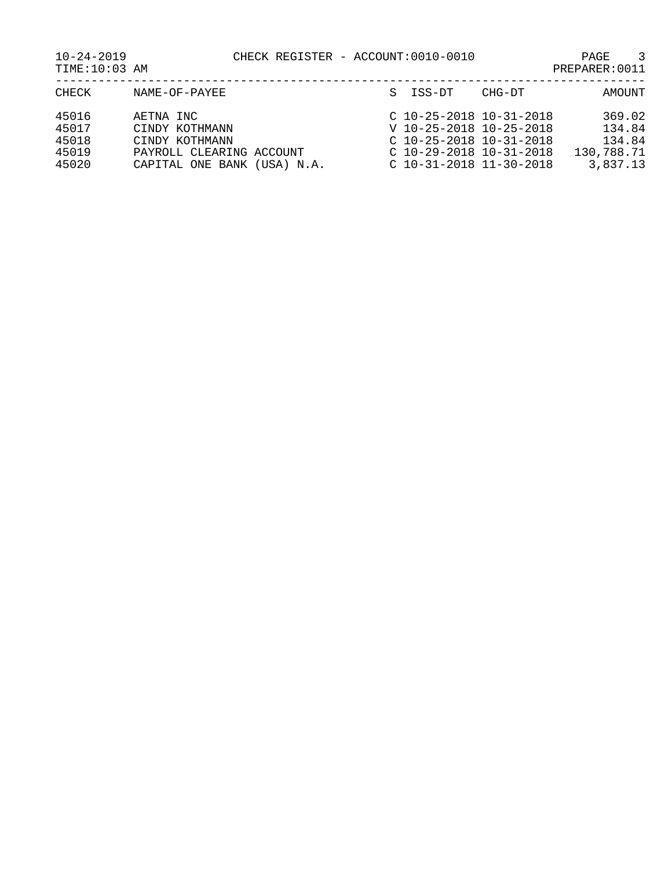10-24-2019 CHECK REGISTER - ACCOUNT:0010-0010 PAGE 3

| TIME:10:03 AM | PREPARER: 0011 |
|---------------|----------------|
|               |                |

| CHECK | NAME-OF-PAYEE               | S ISS-DT | CHG-DT                    | AMOUNT     |
|-------|-----------------------------|----------|---------------------------|------------|
| 45016 | AETNA INC                   |          | $C$ 10-25-2018 10-31-2018 | 369.02     |
| 45017 | CINDY KOTHMANN              |          | V 10-25-2018 10-25-2018   | 134.84     |
| 45018 | CINDY KOTHMANN              |          | $C$ 10-25-2018 10-31-2018 | 134.84     |
| 45019 | PAYROLL CLEARING ACCOUNT    |          | C 10-29-2018 10-31-2018   | 130,788.71 |
| 45020 | CAPITAL ONE BANK (USA) N.A. |          | $C$ 10-31-2018 11-30-2018 | 3,837.13   |